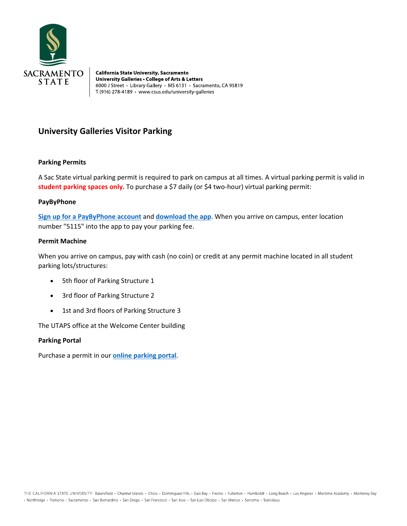

**California State University, Sacramento** University Galleries . College of Arts & Letters 6000 J Street · Library Gallery · MS 6131 · Sacramento, CA 95819 T (916) 278-4189 · www.csus.edu/university-galleries

# **University Galleries Visitor Parking**

## **Parking Permits**

A Sac State virtual parking permit is required to park on campus at all times. A virtual parking permit is valid in student parking spaces only. To purchase a \$7 daily (or \$4 two-hour) virtual parking permit:

#### **PayByPhone**

**[Sign up for a PayByPhone account](https://paybyphone.com/registration/)** and **[download the app](https://paybyphone.com/mobile-apps/)**. When you arrive on campus, enter location number "5115" into the app to pay your parking fee.

### **Permit Machine**

When you arrive on campus, pay with cash (no coin) or credit at any permit machine located in all student parking lots/structures:

- 5th floor of Parking Structure 1
- 3rd floor of Parking Structure 2
- 1st and 3rd floors of Parking Structure 3

The UTAPS office at the Welcome Center building

#### **Parking Portal**

Purchase a permit in our **[online parking portal](https://sacstate.t2hosted.com/per/index.aspx)**.